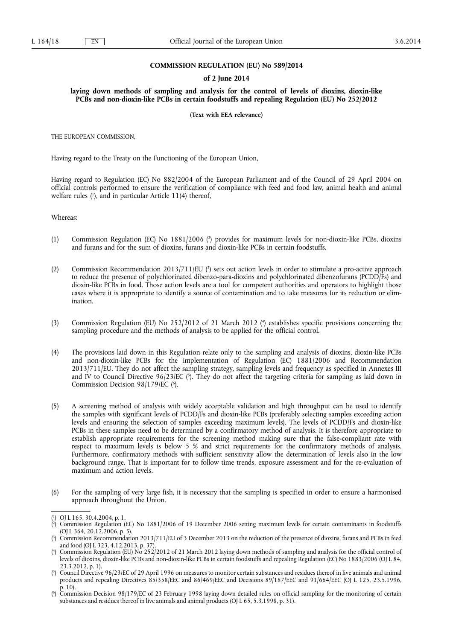### **COMMISSION REGULATION (EU) No 589/2014**

### **of 2 June 2014**

**laying down methods of sampling and analysis for the control of levels of dioxins, dioxin-like PCBs and non-dioxin-like PCBs in certain foodstuffs and repealing Regulation (EU) No 252/2012** 

#### **(Text with EEA relevance)**

THE EUROPEAN COMMISSION,

Having regard to the Treaty on the Functioning of the European Union,

Having regard to Regulation (EC) No 882/2004 of the European Parliament and of the Council of 29 April 2004 on official controls performed to ensure the verification of compliance with feed and food law, animal health and animal welfare rules ( 1 ), and in particular Article 11(4) thereof,

Whereas:

- (1) Commission Regulation (EC) No  $1881/2006$  ( $^2$ ) provides for maximum levels for non-dioxin-like PCBs, dioxins and furans and for the sum of dioxins, furans and dioxin-like PCBs in certain foodstuffs.
- (2) Commission Recommendation 2013/711/EU (<sup>3</sup>) sets out action levels in order to stimulate a pro-active approach to reduce the presence of polychlorinated dibenzo-para-dioxins and polychlorinated dibenzofurans (PCDD/Fs) and dioxin-like PCBs in food. Those action levels are a tool for competent authorities and operators to highlight those cases where it is appropriate to identify a source of contamination and to take measures for its reduction or elimination.
- (3) Commission Regulation (EU) No 252/2012 of 21 March 2012 ( 4 ) establishes specific provisions concerning the sampling procedure and the methods of analysis to be applied for the official control.
- (4) The provisions laid down in this Regulation relate only to the sampling and analysis of dioxins, dioxin-like PCBs and non-dioxin-like PCBs for the implementation of Regulation (EC) 1881/2006 and Recommendation 2013/711/EU. They do not affect the sampling strategy, sampling levels and frequency as specified in Annexes III and IV to Council Directive 96/23/EC (5). They do not affect the targeting criteria for sampling as laid down in Commission Decision 98/179/EC (<sup>6</sup>).
- (5) A screening method of analysis with widely acceptable validation and high throughput can be used to identify the samples with significant levels of PCDD/Fs and dioxin-like PCBs (preferably selecting samples exceeding action levels and ensuring the selection of samples exceeding maximum levels). The levels of PCDD/Fs and dioxin-like PCBs in these samples need to be determined by a confirmatory method of analysis. It is therefore appropriate to establish appropriate requirements for the screening method making sure that the false-compliant rate with respect to maximum levels is below 5 % and strict requirements for the confirmatory methods of analysis. Furthermore, confirmatory methods with sufficient sensitivity allow the determination of levels also in the low background range. That is important for to follow time trends, exposure assessment and for the re-evaluation of maximum and action levels.
- (6) For the sampling of very large fish, it is necessary that the sampling is specified in order to ensure a harmonised approach throughout the Union.

<sup>(</sup> 1 ) OJ L 165, 30.4.2004, p. 1.

<sup>(</sup> 2 ) Commission Regulation (EC) No 1881/2006 of 19 December 2006 setting maximum levels for certain contaminants in foodstuffs (OJ L 364, 20.12.2006, p. 5).

<sup>(</sup> 3 ) Commission Recommendation 2013/711/EU of 3 December 2013 on the reduction of the presence of dioxins, furans and PCBs in feed and food (OJ L 323, 4.12.2013, p. 37).

<sup>(</sup> 4 ) Commission Regulation (EU) No 252/2012 of 21 March 2012 laying down methods of sampling and analysis for the official control of levels of dioxins, dioxin-like PCBs and non-dioxin-like PCBs in certain foodstuffs and repealing Regulation (EC) No 1883/2006 (OJ L 84, 23.3.2012, p. 1).

<sup>(</sup> 5 ) Council Directive 96/23/EC of 29 April 1996 on measures to monitor certain substances and residues thereof in live animals and animal products and repealing Directives 85/358/EEC and 86/469/EEC and Decisions 89/187/EEC and 91/664/EEC (OJ L 125, 23.5.1996, p. 10).

<sup>(</sup> 6 ) Commission Decision 98/179/EC of 23 February 1998 laying down detailed rules on official sampling for the monitoring of certain substances and residues thereof in live animals and animal products (OJ L 65, 5.3.1998, p. 31).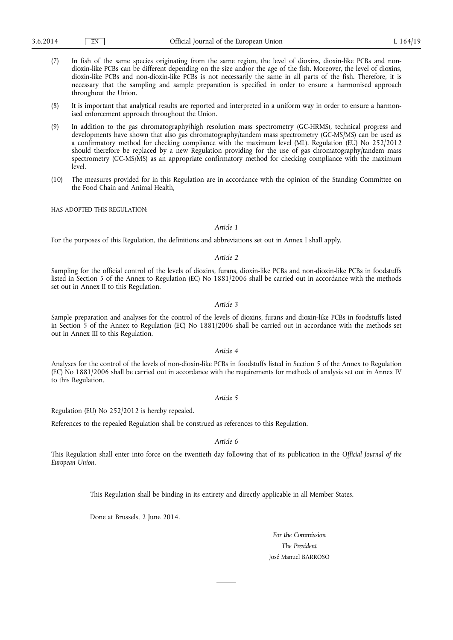- (7) In fish of the same species originating from the same region, the level of dioxins, dioxin-like PCBs and nondioxin-like PCBs can be different depending on the size and/or the age of the fish. Moreover, the level of dioxins, dioxin-like PCBs and non-dioxin-like PCBs is not necessarily the same in all parts of the fish. Therefore, it is necessary that the sampling and sample preparation is specified in order to ensure a harmonised approach throughout the Union.
- (8) It is important that analytical results are reported and interpreted in a uniform way in order to ensure a harmonised enforcement approach throughout the Union.
- (9) In addition to the gas chromatography/high resolution mass spectrometry (GC-HRMS), technical progress and developments have shown that also gas chromatography/tandem mass spectrometry (GC-MS/MS) can be used as a confirmatory method for checking compliance with the maximum level (ML). Regulation (EU) No 252/2012 should therefore be replaced by a new Regulation providing for the use of gas chromatography/tandem mass spectrometry (GC-MS/MS) as an appropriate confirmatory method for checking compliance with the maximum level.
- (10) The measures provided for in this Regulation are in accordance with the opinion of the Standing Committee on the Food Chain and Animal Health,

HAS ADOPTED THIS REGULATION:

# *Article 1*

For the purposes of this Regulation, the definitions and abbreviations set out in Annex I shall apply.

# *Article 2*

Sampling for the official control of the levels of dioxins, furans, dioxin-like PCBs and non-dioxin-like PCBs in foodstuffs listed in Section 5 of the Annex to Regulation (EC) No 1881/2006 shall be carried out in accordance with the methods set out in Annex II to this Regulation.

## *Article 3*

Sample preparation and analyses for the control of the levels of dioxins, furans and dioxin-like PCBs in foodstuffs listed in Section 5 of the Annex to Regulation (EC) No 1881/2006 shall be carried out in accordance with the methods set out in Annex III to this Regulation.

#### *Article 4*

Analyses for the control of the levels of non-dioxin-like PCBs in foodstuffs listed in Section 5 of the Annex to Regulation (EC) No 1881/2006 shall be carried out in accordance with the requirements for methods of analysis set out in Annex IV to this Regulation.

#### *Article 5*

Regulation (EU) No 252/2012 is hereby repealed.

References to the repealed Regulation shall be construed as references to this Regulation.

# *Article 6*

This Regulation shall enter into force on the twentieth day following that of its publication in the *Official Journal of the European Union*.

This Regulation shall be binding in its entirety and directly applicable in all Member States.

Done at Brussels, 2 June 2014.

*For the Commission The President*  José Manuel BARROSO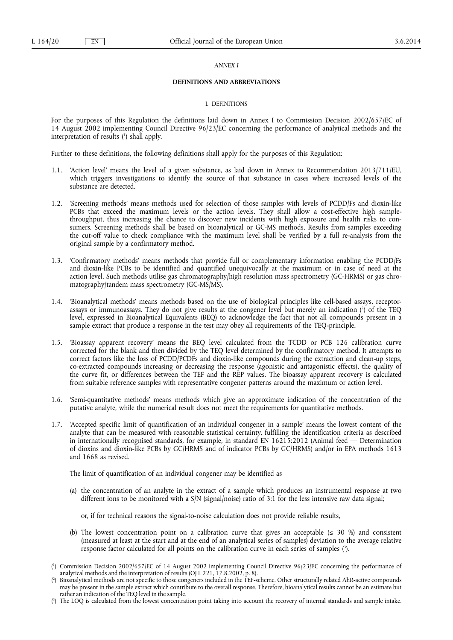#### *ANNEX I*

#### **DEFINITIONS AND ABBREVIATIONS**

#### I. DEFINITIONS

For the purposes of this Regulation the definitions laid down in Annex I to Commission Decision 2002/657/EC of 14 August 2002 implementing Council Directive 96/23/EC concerning the performance of analytical methods and the interpretation of results ( 1 ) shall apply.

Further to these definitions, the following definitions shall apply for the purposes of this Regulation:

- 1.1. 'Action level' means the level of a given substance, as laid down in Annex to Recommendation 2013/711/EU, which triggers investigations to identify the source of that substance in cases where increased levels of the substance are detected.
- 1.2. 'Screening methods' means methods used for selection of those samples with levels of PCDD/Fs and dioxin-like PCBs that exceed the maximum levels or the action levels. They shall allow a cost-effective high samplethroughput, thus increasing the chance to discover new incidents with high exposure and health risks to consumers. Screening methods shall be based on bioanalytical or GC-MS methods. Results from samples exceeding the cut-off value to check compliance with the maximum level shall be verified by a full re-analysis from the original sample by a confirmatory method.
- 1.3. 'Confirmatory methods' means methods that provide full or complementary information enabling the PCDD/Fs and dioxin-like PCBs to be identified and quantified unequivocally at the maximum or in case of need at the action level. Such methods utilise gas chromatography/high resolution mass spectrometry (GC-HRMS) or gas chromatography/tandem mass spectrometry (GC-MS/MS).
- 1.4. 'Bioanalytical methods' means methods based on the use of biological principles like cell-based assays, receptorassays or immunoassays. They do not give results at the congener level but merely an indication ( 2 ) of the TEQ level, expressed in Bioanalytical Equivalents (BEQ) to acknowledge the fact that not all compounds present in a sample extract that produce a response in the test may obey all requirements of the TEQ-principle.
- 1.5. 'Bioassay apparent recovery' means the BEQ level calculated from the TCDD or PCB 126 calibration curve corrected for the blank and then divided by the TEQ level determined by the confirmatory method. It attempts to correct factors like the loss of PCDD/PCDFs and dioxin-like compounds during the extraction and clean-up steps, co-extracted compounds increasing or decreasing the response (agonistic and antagonistic effects), the quality of the curve fit, or differences between the TEF and the REP values. The bioassay apparent recovery is calculated from suitable reference samples with representative congener patterns around the maximum or action level.
- 1.6. 'Semi-quantitative methods' means methods which give an approximate indication of the concentration of the putative analyte, while the numerical result does not meet the requirements for quantitative methods.
- 1.7. 'Accepted specific limit of quantification of an individual congener in a sample' means the lowest content of the analyte that can be measured with reasonable statistical certainty, fulfilling the identification criteria as described in internationally recognised standards, for example, in standard EN 16215:2012 (Animal feed — Determination of dioxins and dioxin-like PCBs by GC/HRMS and of indicator PCBs by GC/HRMS) and/or in EPA methods 1613 and 1668 as revised.

The limit of quantification of an individual congener may be identified as

- (a) the concentration of an analyte in the extract of a sample which produces an instrumental response at two different ions to be monitored with a S/N (signal/noise) ratio of 3:1 for the less intensive raw data signal;
	- or, if for technical reasons the signal-to-noise calculation does not provide reliable results,
- (b) The lowest concentration point on a calibration curve that gives an acceptable ( $\leq 30\%$ ) and consistent (measured at least at the start and at the end of an analytical series of samples) deviation to the average relative response factor calculated for all points on the calibration curve in each series of samples (3).

<sup>(</sup> 1 ) Commission Decision 2002/657/EC of 14 August 2002 implementing Council Directive 96/23/EC concerning the performance of analytical methods and the interpretation of results (OJ L 221, 17.8.2002, p. 8).

<sup>(</sup> 2 ) Bioanalytical methods are not specific to those congeners included in the TEF-scheme. Other structurally related AhR-active compounds may be present in the sample extract which contribute to the overall response. Therefore, bioanalytical results cannot be an estimate but rather an indication of the TEQ level in the sample.

<sup>(</sup> 3 ) The LOQ is calculated from the lowest concentration point taking into account the recovery of internal standards and sample intake.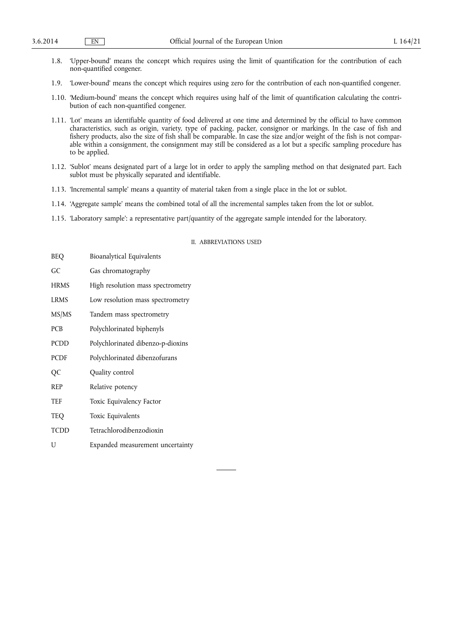- 1.8. 'Upper-bound' means the concept which requires using the limit of quantification for the contribution of each non-quantified congener.
- 1.9. 'Lower-bound' means the concept which requires using zero for the contribution of each non-quantified congener.
- 1.10. 'Medium-bound' means the concept which requires using half of the limit of quantification calculating the contribution of each non-quantified congener.
- 1.11. 'Lot' means an identifiable quantity of food delivered at one time and determined by the official to have common characteristics, such as origin, variety, type of packing, packer, consignor or markings. In the case of fish and fishery products, also the size of fish shall be comparable. In case the size and/or weight of the fish is not comparable within a consignment, the consignment may still be considered as a lot but a specific sampling procedure has to be applied.
- 1.12. 'Sublot' means designated part of a large lot in order to apply the sampling method on that designated part. Each sublot must be physically separated and identifiable.
- 1.13. 'Incremental sample' means a quantity of material taken from a single place in the lot or sublot.
- 1.14. 'Aggregate sample' means the combined total of all the incremental samples taken from the lot or sublot.
- 1.15. 'Laboratory sample': a representative part/quantity of the aggregate sample intended for the laboratory.

#### II. ABBREVIATIONS USED

| <b>BEQ</b>  | Bioanalytical Equivalents         |
|-------------|-----------------------------------|
| GC          | Gas chromatography                |
| <b>HRMS</b> | High resolution mass spectrometry |
| <b>LRMS</b> | Low resolution mass spectrometry  |
| MS/MS       | Tandem mass spectrometry          |
| <b>PCB</b>  | Polychlorinated biphenyls         |
| <b>PCDD</b> | Polychlorinated dibenzo-p-dioxins |
| <b>PCDF</b> | Polychlorinated dibenzofurans     |
| QC          | Quality control                   |
| <b>REP</b>  | Relative potency                  |
| TEF         | Toxic Equivalency Factor          |
| TEQ         | Toxic Equivalents                 |
| <b>TCDD</b> | Tetrachlorodibenzodioxin          |
| U           | Expanded measurement uncertainty  |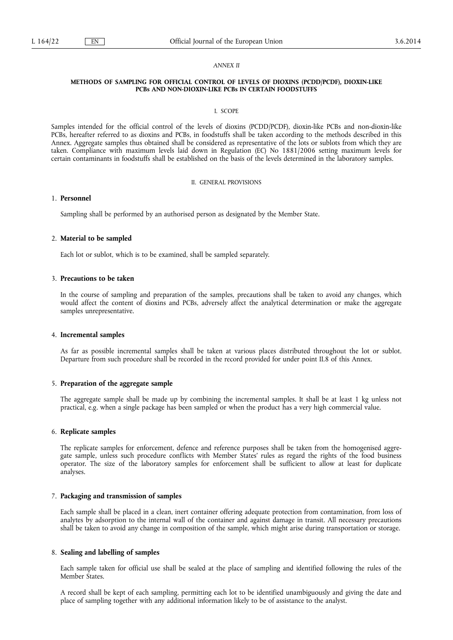#### *ANNEX II*

#### **METHODS OF SAMPLING FOR OFFICIAL CONTROL OF LEVELS OF DIOXINS (PCDD/PCDF), DIOXIN-LIKE PCBs AND NON-DIOXIN-LIKE PCBs IN CERTAIN FOODSTUFFS**

#### I. SCOPE

Samples intended for the official control of the levels of dioxins (PCDD/PCDF), dioxin-like PCBs and non-dioxin-like PCBs, hereafter referred to as dioxins and PCBs, in foodstuffs shall be taken according to the methods described in this Annex. Aggregate samples thus obtained shall be considered as representative of the lots or sublots from which they are taken. Compliance with maximum levels laid down in Regulation (EC) No 1881/2006 setting maximum levels for certain contaminants in foodstuffs shall be established on the basis of the levels determined in the laboratory samples.

## II. GENERAL PROVISIONS

# 1. **Personnel**

Sampling shall be performed by an authorised person as designated by the Member State.

## 2. **Material to be sampled**

Each lot or sublot, which is to be examined, shall be sampled separately.

## 3. **Precautions to be taken**

In the course of sampling and preparation of the samples, precautions shall be taken to avoid any changes, which would affect the content of dioxins and PCBs, adversely affect the analytical determination or make the aggregate samples unrepresentative.

#### 4. **Incremental samples**

As far as possible incremental samples shall be taken at various places distributed throughout the lot or sublot. Departure from such procedure shall be recorded in the record provided for under point II.8 of this Annex.

#### 5. **Preparation of the aggregate sample**

The aggregate sample shall be made up by combining the incremental samples. It shall be at least 1 kg unless not practical, e.g. when a single package has been sampled or when the product has a very high commercial value.

#### 6. **Replicate samples**

The replicate samples for enforcement, defence and reference purposes shall be taken from the homogenised aggregate sample, unless such procedure conflicts with Member States' rules as regard the rights of the food business operator. The size of the laboratory samples for enforcement shall be sufficient to allow at least for duplicate analyses.

#### 7. **Packaging and transmission of samples**

Each sample shall be placed in a clean, inert container offering adequate protection from contamination, from loss of analytes by adsorption to the internal wall of the container and against damage in transit. All necessary precautions shall be taken to avoid any change in composition of the sample, which might arise during transportation or storage.

# 8. **Sealing and labelling of samples**

Each sample taken for official use shall be sealed at the place of sampling and identified following the rules of the Member States.

A record shall be kept of each sampling, permitting each lot to be identified unambiguously and giving the date and place of sampling together with any additional information likely to be of assistance to the analyst.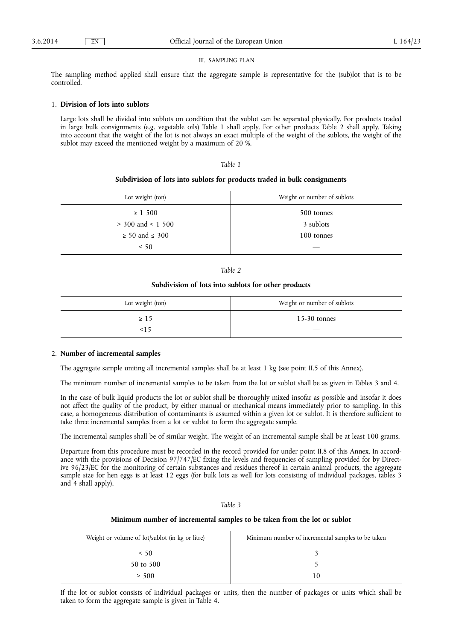### III. SAMPLING PLAN

The sampling method applied shall ensure that the aggregate sample is representative for the (sub)lot that is to be controlled.

### 1. **Division of lots into sublots**

Large lots shall be divided into sublots on condition that the sublot can be separated physically. For products traded in large bulk consignments (e.g. vegetable oils) Table 1 shall apply. For other products Table 2 shall apply. Taking into account that the weight of the lot is not always an exact multiple of the weight of the sublots, the weight of the sublot may exceed the mentioned weight by a maximum of 20 %.

## *Table 1*

#### **Subdivision of lots into sublots for products traded in bulk consignments**

| Lot weight (ton)         | Weight or number of sublots |
|--------------------------|-----------------------------|
| $\geq 1,500$             | 500 tonnes                  |
| $>$ 300 and < 1 500      | 3 sublots                   |
| $\geq 50$ and $\leq 300$ | 100 tonnes                  |
| < 50                     |                             |

*Table 2* 

#### **Subdivision of lots into sublots for other products**

| Lot weight (ton) | Weight or number of sublots |
|------------------|-----------------------------|
| $\geq 15$        | $15-30$ tonnes              |
| <15              |                             |

# 2. **Number of incremental samples**

The aggregate sample uniting all incremental samples shall be at least 1 kg (see point II.5 of this Annex).

The minimum number of incremental samples to be taken from the lot or sublot shall be as given in Tables 3 and 4.

In the case of bulk liquid products the lot or sublot shall be thoroughly mixed insofar as possible and insofar it does not affect the quality of the product, by either manual or mechanical means immediately prior to sampling. In this case, a homogeneous distribution of contaminants is assumed within a given lot or sublot. It is therefore sufficient to take three incremental samples from a lot or sublot to form the aggregate sample.

The incremental samples shall be of similar weight. The weight of an incremental sample shall be at least 100 grams.

Departure from this procedure must be recorded in the record provided for under point II.8 of this Annex. In accordance with the provisions of Decision 97/747/EC fixing the levels and frequencies of sampling provided for by Directive 96/23/EC for the monitoring of certain substances and residues thereof in certain animal products, the aggregate sample size for hen eggs is at least 12 eggs (for bulk lots as well for lots consisting of individual packages, tables 3 and 4 shall apply).

| αr |  |
|----|--|
|----|--|

## **Minimum number of incremental samples to be taken from the lot or sublot**

| Weight or volume of lot/sublot (in kg or litre) | Minimum number of incremental samples to be taken |
|-------------------------------------------------|---------------------------------------------------|
| < 50                                            |                                                   |
| 50 to 500                                       |                                                   |
| > 500                                           | 10                                                |

If the lot or sublot consists of individual packages or units, then the number of packages or units which shall be taken to form the aggregate sample is given in Table 4.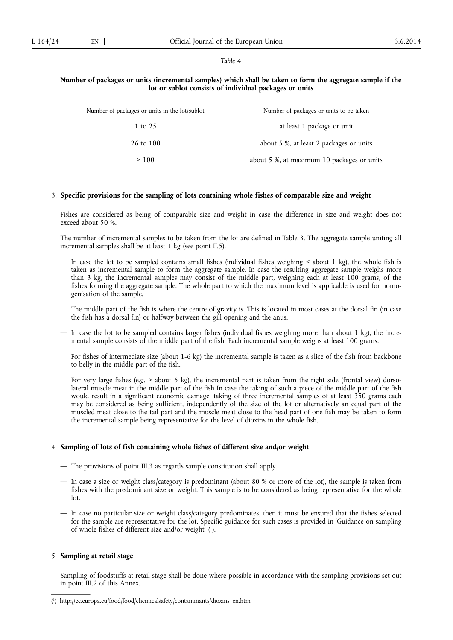#### *Table 4*

# **Number of packages or units (incremental samples) which shall be taken to form the aggregate sample if the lot or sublot consists of individual packages or units**

| Number of packages or units in the lot/sublot | Number of packages or units to be taken    |
|-----------------------------------------------|--------------------------------------------|
| 1 to 25                                       | at least 1 package or unit                 |
| 26 to 100                                     | about 5 %, at least 2 packages or units    |
| >100                                          | about 5 %, at maximum 10 packages or units |

# 3. **Specific provisions for the sampling of lots containing whole fishes of comparable size and weight**

Fishes are considered as being of comparable size and weight in case the difference in size and weight does not exceed about 50 %.

The number of incremental samples to be taken from the lot are defined in Table 3. The aggregate sample uniting all incremental samples shall be at least 1 kg (see point II.5).

— In case the lot to be sampled contains small fishes (individual fishes weighing < about 1 kg), the whole fish is taken as incremental sample to form the aggregate sample. In case the resulting aggregate sample weighs more than 3 kg, the incremental samples may consist of the middle part, weighing each at least 100 grams, of the fishes forming the aggregate sample. The whole part to which the maximum level is applicable is used for homogenisation of the sample.

The middle part of the fish is where the centre of gravity is. This is located in most cases at the dorsal fin (in case the fish has a dorsal fin) or halfway between the gill opening and the anus.

— In case the lot to be sampled contains larger fishes (individual fishes weighing more than about 1 kg), the incremental sample consists of the middle part of the fish. Each incremental sample weighs at least 100 grams.

For fishes of intermediate size (about 1-6 kg) the incremental sample is taken as a slice of the fish from backbone to belly in the middle part of the fish.

For very large fishes (e.g. > about 6 kg), the incremental part is taken from the right side (frontal view) dorsolateral muscle meat in the middle part of the fish In case the taking of such a piece of the middle part of the fish would result in a significant economic damage, taking of three incremental samples of at least 350 grams each may be considered as being sufficient, independently of the size of the lot or alternatively an equal part of the muscled meat close to the tail part and the muscle meat close to the head part of one fish may be taken to form the incremental sample being representative for the level of dioxins in the whole fish.

## 4. **Sampling of lots of fish containing whole fishes of different size and/or weight**

- The provisions of point III.3 as regards sample constitution shall apply.
- In case a size or weight class/category is predominant (about 80 % or more of the lot), the sample is taken from fishes with the predominant size or weight. This sample is to be considered as being representative for the whole lot.
- In case no particular size or weight class/category predominates, then it must be ensured that the fishes selected for the sample are representative for the lot. Specific guidance for such cases is provided in 'Guidance on sampling of whole fishes of different size and/or weight' ( 1 ).

#### 5. **Sampling at retail stage**

Sampling of foodstuffs at retail stage shall be done where possible in accordance with the sampling provisions set out in point III.2 of this Annex.

<sup>(</sup> 1 ) [http://ec.europa.eu/food/food/chemicalsafety/contaminants/dioxins\\_en.htm](http://ec.europa.eu/food/food/chemicalsafety/contaminants/dioxins_en.htm)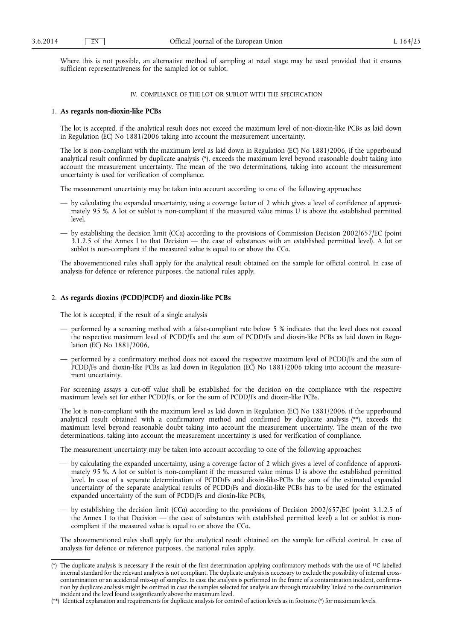Where this is not possible, an alternative method of sampling at retail stage may be used provided that it ensures sufficient representativeness for the sampled lot or sublot.

## IV. COMPLIANCE OF THE LOT OR SUBLOT WITH THE SPECIFICATION

# 1. **As regards non-dioxin-like PCBs**

The lot is accepted, if the analytical result does not exceed the maximum level of non-dioxin-like PCBs as laid down in Regulation (EC) No 1881/2006 taking into account the measurement uncertainty.

The lot is non-compliant with the maximum level as laid down in Regulation (EC) No 1881/2006, if the upperbound analytical result confirmed by duplicate analysis (\*), exceeds the maximum level beyond reasonable doubt taking into account the measurement uncertainty. The mean of the two determinations, taking into account the measurement uncertainty is used for verification of compliance.

The measurement uncertainty may be taken into account according to one of the following approaches:

- by calculating the expanded uncertainty, using a coverage factor of 2 which gives a level of confidence of approximately 95 %. A lot or sublot is non-compliant if the measured value minus U is above the established permitted level,
- by establishing the decision limit (CCα) according to the provisions of Commission Decision 2002/657/EC (point  $3.1.2.5$  of the Annex I to that Decision — the case of substances with an established permitted level). A lot or sublot is non-compliant if the measured value is equal to or above the CCα.

The abovementioned rules shall apply for the analytical result obtained on the sample for official control. In case of analysis for defence or reference purposes, the national rules apply.

# 2. **As regards dioxins (PCDD/PCDF) and dioxin-like PCBs**

The lot is accepted, if the result of a single analysis

- performed by a screening method with a false-compliant rate below 5 % indicates that the level does not exceed the respective maximum level of PCDD/Fs and the sum of PCDD/Fs and dioxin-like PCBs as laid down in Regulation (EC) No 1881/2006,
- performed by a confirmatory method does not exceed the respective maximum level of PCDD/Fs and the sum of PCDD/Fs and dioxin-like PCBs as laid down in Regulation (EC) No 1881/2006 taking into account the measurement uncertainty.

For screening assays a cut-off value shall be established for the decision on the compliance with the respective maximum levels set for either PCDD/Fs, or for the sum of PCDD/Fs and dioxin-like PCBs.

The lot is non-compliant with the maximum level as laid down in Regulation (EC) No 1881/2006, if the upperbound analytical result obtained with a confirmatory method and confirmed by duplicate analysis (\*\*), exceeds the maximum level beyond reasonable doubt taking into account the measurement uncertainty. The mean of the two determinations, taking into account the measurement uncertainty is used for verification of compliance.

The measurement uncertainty may be taken into account according to one of the following approaches:

- by calculating the expanded uncertainty, using a coverage factor of 2 which gives a level of confidence of approximately 95 %. A lot or sublot is non-compliant if the measured value minus U is above the established permitted level. In case of a separate determination of PCDD/Fs and dioxin-like-PCBs the sum of the estimated expanded uncertainty of the separate analytical results of PCDD/Fs and dioxin-like PCBs has to be used for the estimated expanded uncertainty of the sum of PCDD/Fs and dioxin-like PCBs,
- by establishing the decision limit (CCα) according to the provisions of Decision 2002/657/EC (point 3.1.2.5 of the Annex I to that Decision — the case of substances with established permitted level) a lot or sublot is noncompliant if the measured value is equal to or above the CCα.

The abovementioned rules shall apply for the analytical result obtained on the sample for official control. In case of analysis for defence or reference purposes, the national rules apply.

<sup>(\*)</sup> The duplicate analysis is necessary if the result of the first determination applying confirmatory methods with the use of 13C-labelled internal standard for the relevant analytes is not compliant. The duplicate analysis is necessary to exclude the possibility of internal crosscontamination or an accidental mix-up of samples. In case the analysis is performed in the frame of a contamination incident, confirmation by duplicate analysis might be omitted in case the samples selected for analysis are through traceability linked to the contamination incident and the level found is significantly above the maximum level.

<sup>(\*\*)</sup> Identical explanation and requirements for duplicate analysis for control of action levels as in footnote (\*) for maximum levels.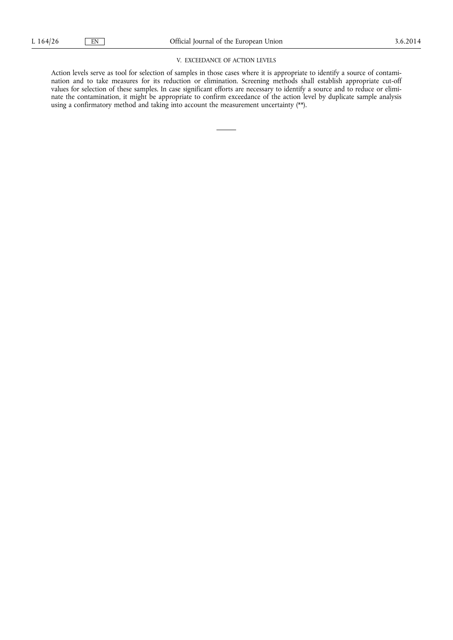# V. EXCEEDANCE OF ACTION LEVELS

Action levels serve as tool for selection of samples in those cases where it is appropriate to identify a source of contamination and to take measures for its reduction or elimination. Screening methods shall establish appropriate cut-off values for selection of these samples. In case significant efforts are necessary to identify a source and to reduce or eliminate the contamination, it might be appropriate to confirm exceedance of the action level by duplicate sample analysis using a confirmatory method and taking into account the measurement uncertainty (\*\*).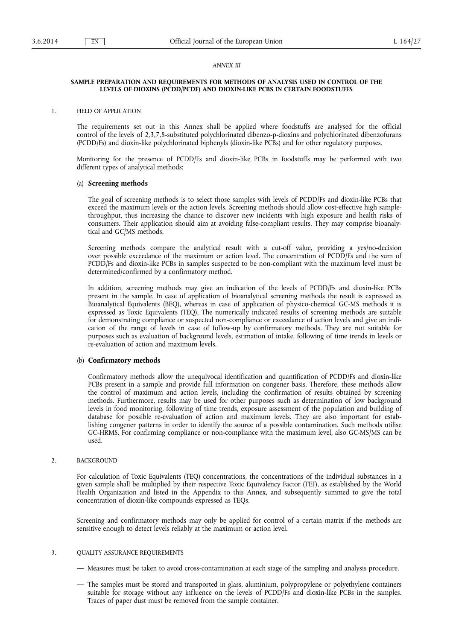#### *ANNEX III*

#### **SAMPLE PREPARATION AND REQUIREMENTS FOR METHODS OF ANALYSIS USED IN CONTROL OF THE LEVELS OF DIOXINS (PCDD/PCDF) AND DIOXIN-LIKE PCBS IN CERTAIN FOODSTUFFS**

#### 1. FIELD OF APPLICATION

The requirements set out in this Annex shall be applied where foodstuffs are analysed for the official control of the levels of 2,3,7,8-substituted polychlorinated dibenzo-p-dioxins and polychlorinated dibenzofurans (PCDD/Fs) and dioxin-like polychlorinated biphenyls (dioxin-like PCBs) and for other regulatory purposes.

Monitoring for the presence of PCDD/Fs and dioxin-like PCBs in foodstuffs may be performed with two different types of analytical methods:

## (a) **Screening methods**

The goal of screening methods is to select those samples with levels of PCDD/Fs and dioxin-like PCBs that exceed the maximum levels or the action levels. Screening methods should allow cost-effective high samplethroughput, thus increasing the chance to discover new incidents with high exposure and health risks of consumers. Their application should aim at avoiding false-compliant results. They may comprise bioanalytical and GC/MS methods.

Screening methods compare the analytical result with a cut-off value, providing a yes/no-decision over possible exceedance of the maximum or action level. The concentration of PCDD/Fs and the sum of PCDD/Fs and dioxin-like PCBs in samples suspected to be non-compliant with the maximum level must be determined/confirmed by a confirmatory method.

In addition, screening methods may give an indication of the levels of PCDD/Fs and dioxin-like PCBs present in the sample. In case of application of bioanalytical screening methods the result is expressed as Bioanalytical Equivalents (BEQ), whereas in case of application of physico-chemical GC-MS methods it is expressed as Toxic Equivalents (TEQ). The numerically indicated results of screening methods are suitable for demonstrating compliance or suspected non-compliance or exceedance of action levels and give an indication of the range of levels in case of follow-up by confirmatory methods. They are not suitable for purposes such as evaluation of background levels, estimation of intake, following of time trends in levels or re-evaluation of action and maximum levels.

### (b) **Confirmatory methods**

Confirmatory methods allow the unequivocal identification and quantification of PCDD/Fs and dioxin-like PCBs present in a sample and provide full information on congener basis. Therefore, these methods allow the control of maximum and action levels, including the confirmation of results obtained by screening methods. Furthermore, results may be used for other purposes such as determination of low background levels in food monitoring, following of time trends, exposure assessment of the population and building of database for possible re-evaluation of action and maximum levels. They are also important for establishing congener patterns in order to identify the source of a possible contamination. Such methods utilise GC-HRMS. For confirming compliance or non-compliance with the maximum level, also GC-MS/MS can be used.

#### 2. BACKGROUND

For calculation of Toxic Equivalents (TEQ) concentrations, the concentrations of the individual substances in a given sample shall be multiplied by their respective Toxic Equivalency Factor (TEF), as established by the World Health Organization and listed in the Appendix to this Annex, and subsequently summed to give the total concentration of dioxin-like compounds expressed as TEQs.

Screening and confirmatory methods may only be applied for control of a certain matrix if the methods are sensitive enough to detect levels reliably at the maximum or action level.

## 3. QUALITY ASSURANCE REQUIREMENTS

- Measures must be taken to avoid cross-contamination at each stage of the sampling and analysis procedure.
- The samples must be stored and transported in glass, aluminium, polypropylene or polyethylene containers suitable for storage without any influence on the levels of PCDD/Fs and dioxin-like PCBs in the samples. Traces of paper dust must be removed from the sample container.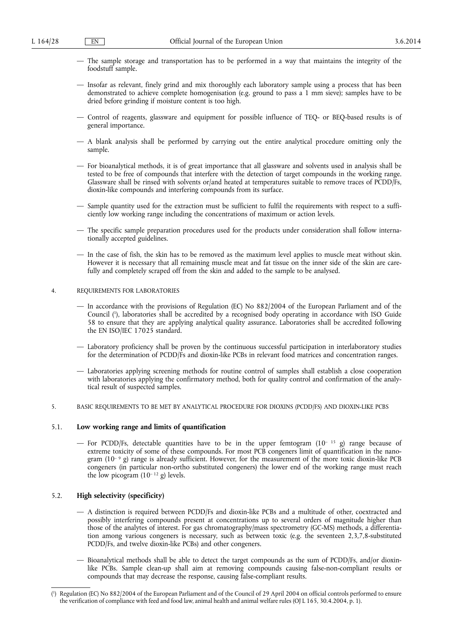- The sample storage and transportation has to be performed in a way that maintains the integrity of the foodstuff sample.
- Insofar as relevant, finely grind and mix thoroughly each laboratory sample using a process that has been demonstrated to achieve complete homogenisation (e.g. ground to pass a 1 mm sieve); samples have to be dried before grinding if moisture content is too high.
- Control of reagents, glassware and equipment for possible influence of TEQ- or BEQ-based results is of general importance.
- A blank analysis shall be performed by carrying out the entire analytical procedure omitting only the sample.
- For bioanalytical methods, it is of great importance that all glassware and solvents used in analysis shall be tested to be free of compounds that interfere with the detection of target compounds in the working range. Glassware shall be rinsed with solvents or/and heated at temperatures suitable to remove traces of PCDD/Fs, dioxin-like compounds and interfering compounds from its surface.
- Sample quantity used for the extraction must be sufficient to fulfil the requirements with respect to a sufficiently low working range including the concentrations of maximum or action levels.
- The specific sample preparation procedures used for the products under consideration shall follow internationally accepted guidelines.
- In the case of fish, the skin has to be removed as the maximum level applies to muscle meat without skin. However it is necessary that all remaining muscle meat and fat tissue on the inner side of the skin are carefully and completely scraped off from the skin and added to the sample to be analysed.

#### 4. REQUIREMENTS FOR LABORATORIES

- In accordance with the provisions of Regulation (EC) No 882/2004 of the European Parliament and of the Council ( 1 ), laboratories shall be accredited by a recognised body operating in accordance with ISO Guide 58 to ensure that they are applying analytical quality assurance. Laboratories shall be accredited following the EN ISO/IEC 17025 standard.
- Laboratory proficiency shall be proven by the continuous successful participation in interlaboratory studies for the determination of PCDD/Fs and dioxin-like PCBs in relevant food matrices and concentration ranges.
- Laboratories applying screening methods for routine control of samples shall establish a close cooperation with laboratories applying the confirmatory method, both for quality control and confirmation of the analytical result of suspected samples.
- 5. BASIC REQUIREMENTS TO BE MET BY ANALYTICAL PROCEDURE FOR DIOXINS (PCDD/FS) AND DIOXIN-LIKE PCBS

#### 5.1. **Low working range and limits of quantification**

— For PCDD/Fs, detectable quantities have to be in the upper femtogram  $(10^{-15} \text{ g})$  range because of extreme toxicity of some of these compounds. For most PCB congeners limit of quantification in the nanogram (10<sup>- 9</sup> g) range is already sufficient. However, for the measurement of the more toxic dioxin-like PCB congeners (in particular non-ortho substituted congeners) the lower end of the working range must reach the low picogram  $(10^{-12}$  g) levels.

# 5.2. **High selectivity (specificity)**

- A distinction is required between PCDD/Fs and dioxin-like PCBs and a multitude of other, coextracted and possibly interfering compounds present at concentrations up to several orders of magnitude higher than those of the analytes of interest. For gas chromatography/mass spectrometry (GC-MS) methods, a differentiation among various congeners is necessary, such as between toxic (e.g. the seventeen 2,3,7,8-substituted PCDD/Fs, and twelve dioxin-like PCBs) and other congeners.
- Bioanalytical methods shall be able to detect the target compounds as the sum of PCDD/Fs, and/or dioxinlike PCBs. Sample clean-up shall aim at removing compounds causing false-non-compliant results or compounds that may decrease the response, causing false-compliant results.

<sup>(</sup> 1 ) Regulation (EC) No 882/2004 of the European Parliament and of the Council of 29 April 2004 on official controls performed to ensure the verification of compliance with feed and food law, animal health and animal welfare rules (OJ L 165, 30.4.2004, p. 1).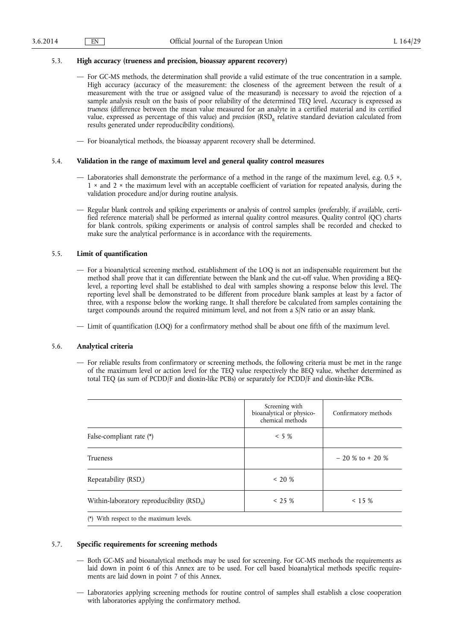# 5.3. **High accuracy (trueness and precision, bioassay apparent recovery)**

- For GC-MS methods, the determination shall provide a valid estimate of the true concentration in a sample. High accuracy (accuracy of the measurement: the closeness of the agreement between the result of a measurement with the true or assigned value of the measurand) is necessary to avoid the rejection of a sample analysis result on the basis of poor reliability of the determined TEQ level. Accuracy is expressed as *trueness* (difference between the mean value measured for an analyte in a certified material and its certified value, expressed as percentage of this value) and *precision* (RSD<sub>p</sub> relative standard deviation calculated from results generated under reproducibility conditions).
- For bioanalytical methods, the bioassay apparent recovery shall be determined.

# 5.4. **Validation in the range of maximum level and general quality control measures**

- Laboratories shall demonstrate the performance of a method in the range of the maximum level, e.g. 0,5 ×, 1 × and 2 × the maximum level with an acceptable coefficient of variation for repeated analysis, during the validation procedure and/or during routine analysis.
- Regular blank controls and spiking experiments or analysis of control samples (preferably, if available, certified reference material) shall be performed as internal quality control measures. Quality control (QC) charts for blank controls, spiking experiments or analysis of control samples shall be recorded and checked to make sure the analytical performance is in accordance with the requirements.

# 5.5. **Limit of quantification**

- For a bioanalytical screening method, establishment of the LOQ is not an indispensable requirement but the method shall prove that it can differentiate between the blank and the cut-off value. When providing a BEQlevel, a reporting level shall be established to deal with samples showing a response below this level. The reporting level shall be demonstrated to be different from procedure blank samples at least by a factor of three, with a response below the working range. It shall therefore be calculated from samples containing the target compounds around the required minimum level, and not from a S/N ratio or an assay blank.
- Limit of quantification (LOQ) for a confirmatory method shall be about one fifth of the maximum level.

# 5.6. **Analytical criteria**

— For reliable results from confirmatory or screening methods, the following criteria must be met in the range of the maximum level or action level for the TEQ value respectively the BEQ value, whether determined as total TEQ (as sum of PCDD/F and dioxin-like PCBs) or separately for PCDD/F and dioxin-like PCBs.

|                                             | Screening with<br>bioanalytical or physico-<br>chemical methods | Confirmatory methods |
|---------------------------------------------|-----------------------------------------------------------------|----------------------|
| False-compliant rate (*)                    | $< 5 \%$                                                        |                      |
| Trueness                                    |                                                                 | $-20\%$ to $+20\%$   |
| Repeatability (RSD,)                        | $<$ 20 %                                                        |                      |
| Within-laboratory reproducibility $(RSD_R)$ | $<$ 25 %                                                        | $< 15 \%$            |
| (*) With respect to the maximum levels.     |                                                                 |                      |

# 5.7. **Specific requirements for screening methods**

- Both GC-MS and bioanalytical methods may be used for screening. For GC-MS methods the requirements as laid down in point 6 of this Annex are to be used. For cell based bioanalytical methods specific requirements are laid down in point 7 of this Annex.
- Laboratories applying screening methods for routine control of samples shall establish a close cooperation with laboratories applying the confirmatory method.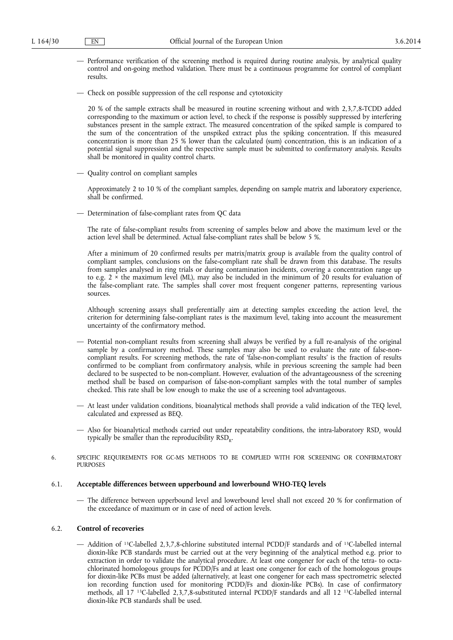- Performance verification of the screening method is required during routine analysis, by analytical quality control and on-going method validation. There must be a continuous programme for control of compliant results.
- Check on possible suppression of the cell response and cytotoxicity

20 % of the sample extracts shall be measured in routine screening without and with 2,3,7,8-TCDD added corresponding to the maximum or action level, to check if the response is possibly suppressed by interfering substances present in the sample extract. The measured concentration of the spiked sample is compared to the sum of the concentration of the unspiked extract plus the spiking concentration. If this measured concentration is more than 25 % lower than the calculated (sum) concentration, this is an indication of a potential signal suppression and the respective sample must be submitted to confirmatory analysis. Results shall be monitored in quality control charts.

— Quality control on compliant samples

Approximately 2 to 10 % of the compliant samples, depending on sample matrix and laboratory experience, shall be confirmed.

— Determination of false-compliant rates from QC data

The rate of false-compliant results from screening of samples below and above the maximum level or the action level shall be determined. Actual false-compliant rates shall be below 5 %.

After a minimum of 20 confirmed results per matrix/matrix group is available from the quality control of compliant samples, conclusions on the false-compliant rate shall be drawn from this database. The results from samples analysed in ring trials or during contamination incidents, covering a concentration range up to e.g.  $2 \times$  the maximum level (ML), may also be included in the minimum of 20 results for evaluation of the false-compliant rate. The samples shall cover most frequent congener patterns, representing various sources.

Although screening assays shall preferentially aim at detecting samples exceeding the action level, the criterion for determining false-compliant rates is the maximum level, taking into account the measurement uncertainty of the confirmatory method.

- Potential non-compliant results from screening shall always be verified by a full re-analysis of the original sample by a confirmatory method. These samples may also be used to evaluate the rate of false-noncompliant results. For screening methods, the rate of 'false-non-compliant results' is the fraction of results confirmed to be compliant from confirmatory analysis, while in previous screening the sample had been declared to be suspected to be non-compliant. However, evaluation of the advantageousness of the screening method shall be based on comparison of false-non-compliant samples with the total number of samples checked. This rate shall be low enough to make the use of a screening tool advantageous.
- At least under validation conditions, bioanalytical methods shall provide a valid indication of the TEQ level, calculated and expressed as BEQ.
- Also for bioanalytical methods carried out under repeatability conditions, the intra-laboratory RSD, would typically be smaller than the reproducibility  $RSD<sub>R</sub>$ .
- 6. SPECIFIC REQUIREMENTS FOR GC-MS METHODS TO BE COMPLIED WITH FOR SCREENING OR CONFIRMATORY PURPOSES

## 6.1. **Acceptable differences between upperbound and lowerbound WHO-TEQ levels**

— The difference between upperbound level and lowerbound level shall not exceed 20 % for confirmation of the exceedance of maximum or in case of need of action levels.

# 6.2. **Control of recoveries**

— Addition of 13C-labelled 2,3,7,8-chlorine substituted internal PCDD/F standards and of 13C-labelled internal dioxin-like PCB standards must be carried out at the very beginning of the analytical method e.g. prior to extraction in order to validate the analytical procedure. At least one congener for each of the tetra- to octachlorinated homologous groups for PCDD/Fs and at least one congener for each of the homologous groups for dioxin-like PCBs must be added (alternatively, at least one congener for each mass spectrometric selected ion recording function used for monitoring PCDD/Fs and dioxin-like PCBs). In case of confirmatory methods, all 17 13C-labelled 2,3,7,8-substituted internal PCDD/F standards and all 12 13C-labelled internal dioxin-like PCB standards shall be used.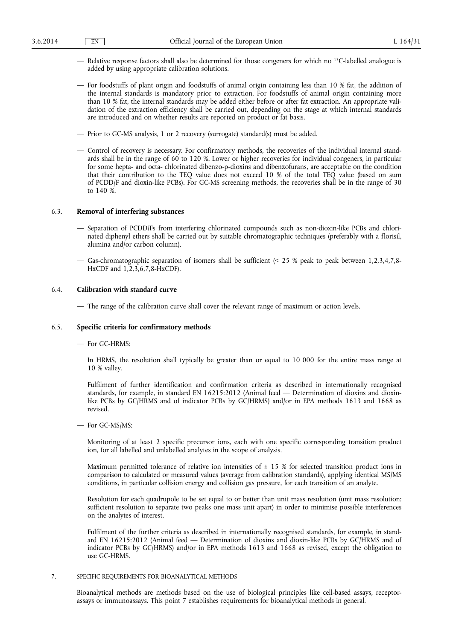- Relative response factors shall also be determined for those congeners for which no 13C-labelled analogue is added by using appropriate calibration solutions.
- For foodstuffs of plant origin and foodstuffs of animal origin containing less than 10 % fat, the addition of the internal standards is mandatory prior to extraction. For foodstuffs of animal origin containing more than 10 % fat, the internal standards may be added either before or after fat extraction. An appropriate validation of the extraction efficiency shall be carried out, depending on the stage at which internal standards are introduced and on whether results are reported on product or fat basis.
- Prior to GC-MS analysis, 1 or 2 recovery (surrogate) standard(s) must be added.
- Control of recovery is necessary. For confirmatory methods, the recoveries of the individual internal standards shall be in the range of 60 to 120 %. Lower or higher recoveries for individual congeners, in particular for some hepta- and octa- chlorinated dibenzo-p-dioxins and dibenzofurans, are acceptable on the condition that their contribution to the TEQ value does not exceed 10 % of the total TEQ value (based on sum of PCDD/F and dioxin-like PCBs). For GC-MS screening methods, the recoveries shall be in the range of 30 to 140 %.

# 6.3. **Removal of interfering substances**

- Separation of PCDD/Fs from interfering chlorinated compounds such as non-dioxin-like PCBs and chlorinated diphenyl ethers shall be carried out by suitable chromatographic techniques (preferably with a florisil, alumina and/or carbon column).
- Gas-chromatographic separation of isomers shall be sufficient (< 25 % peak to peak between 1,2,3,4,7,8- HxCDF and 1,2,3,6,7,8-HxCDF).

### 6.4. **Calibration with standard curve**

— The range of the calibration curve shall cover the relevant range of maximum or action levels.

#### 6.5. **Specific criteria for confirmatory methods**

#### — For GC-HRMS:

In HRMS, the resolution shall typically be greater than or equal to 10 000 for the entire mass range at 10 % valley.

Fulfilment of further identification and confirmation criteria as described in internationally recognised standards, for example, in standard EN 16215:2012 (Animal feed — Determination of dioxins and dioxinlike PCBs by GC/HRMS and of indicator PCBs by GC/HRMS) and/or in EPA methods 1613 and 1668 as revised.

— For GC-MS/MS:

Monitoring of at least 2 specific precursor ions, each with one specific corresponding transition product ion, for all labelled and unlabelled analytes in the scope of analysis.

Maximum permitted tolerance of relative ion intensities of  $\pm$  15 % for selected transition product ions in comparison to calculated or measured values (average from calibration standards), applying identical MS/MS conditions, in particular collision energy and collision gas pressure, for each transition of an analyte.

Resolution for each quadrupole to be set equal to or better than unit mass resolution (unit mass resolution: sufficient resolution to separate two peaks one mass unit apart) in order to minimise possible interferences on the analytes of interest.

Fulfilment of the further criteria as described in internationally recognised standards, for example, in standard EN 16215:2012 (Animal feed — Determination of dioxins and dioxin-like PCBs by GC/HRMS and of indicator PCBs by GC/HRMS) and/or in EPA methods 1613 and 1668 as revised, except the obligation to use GC-HRMS.

#### 7. SPECIFIC REQUIREMENTS FOR BIOANALYTICAL METHODS

Bioanalytical methods are methods based on the use of biological principles like cell-based assays, receptorassays or immunoassays. This point 7 establishes requirements for bioanalytical methods in general.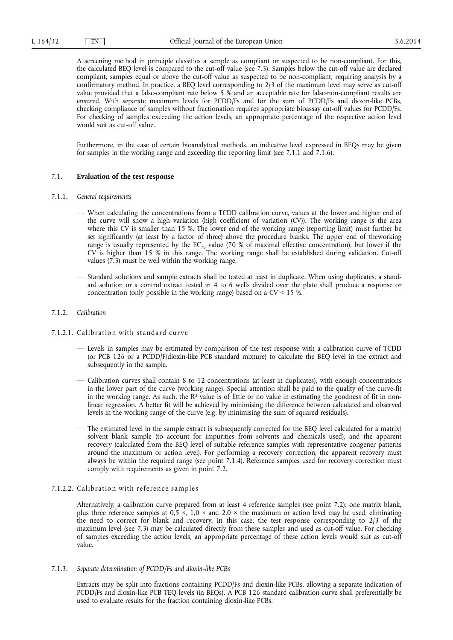A screening method in principle classifies a sample as compliant or suspected to be non-compliant. For this, the calculated BEQ level is compared to the cut-off value (see 7.3). Samples below the cut-off value are declared compliant, samples equal or above the cut-off value as suspected to be non-compliant, requiring analysis by a confirmatory method. In practice, a BEQ level corresponding to 2/3 of the maximum level may serve as cut-off value provided that a false-compliant rate below 5 % and an acceptable rate for false-non-compliant results are ensured. With separate maximum levels for PCDD/Fs and for the sum of PCDD/Fs and dioxin-like PCBs, checking compliance of samples without fractionation requires appropriate bioassay cut-off values for PCDD/Fs. For checking of samples exceeding the action levels, an appropriate percentage of the respective action level would suit as cut-off value.

Furthermore, in the case of certain bioanalytical methods, an indicative level expressed in BEQs may be given for samples in the working range and exceeding the reporting limit (see 7.1.1 and 7.1.6).

#### 7.1. **Evaluation of the test response**

- 7.1.1. *General requirements* 
	- When calculating the concentrations from a TCDD calibration curve, values at the lower and higher end of the curve will show a high variation (high coefficient of variation (CV)). The working range is the area where this CV is smaller than 15 %. The lower end of the working range (reporting limit) must further be set significantly (at least by a factor of three) above the procedure blanks. The upper end of theworking range is usually represented by the  $EC_{70}$  value (70 % of maximal effective concentration), but lower if the CV is higher than 15 % in this range. The working range shall be established during validation. Cut-off values (7.3) must be well within the working range.
	- Standard solutions and sample extracts shall be tested at least in duplicate. When using duplicates, a standard solution or a control extract tested in 4 to 6 wells divided over the plate shall produce a response or concentration (only possible in the working range) based on a CV < 15 %.

## 7.1.2. *Calibration*

- 7.1.2.1. Calibration with standard curve
	- Levels in samples may be estimated by comparison of the test response with a calibration curve of TCDD (or PCB 126 or a PCDD/F/dioxin-like PCB standard mixture) to calculate the BEQ level in the extract and subsequently in the sample.
	- Calibration curves shall contain 8 to 12 concentrations (at least in duplicates), with enough concentrations in the lower part of the curve (working range). Special attention shall be paid to the quality of the curve-fit in the working range. As such, the  $R^2$  value is of little or no value in estimating the goodness of fit in nonlinear regression. A better fit will be achieved by minimising the difference between calculated and observed levels in the working range of the curve (e.g. by minimising the sum of squared residuals).
	- The estimated level in the sample extract is subsequently corrected for the BEQ level calculated for a matrix/ solvent blank sample (to account for impurities from solvents and chemicals used), and the apparent recovery (calculated from the BEQ level of suitable reference samples with representative congener patterns around the maximum or action level). For performing a recovery correction, the apparent recovery must always be within the required range (see point 7.1.4). Reference samples used for recovery correction must comply with requirements as given in point 7.2.

## 7.1.2.2. Calibration with reference samples

Alternatively, a calibration curve prepared from at least 4 reference samples (see point 7.2): one matrix blank, plus three reference samples at  $0.5 \times 1.0 \times$  and  $2.0 \times$  the maximum or action level may be used, eliminating the need to correct for blank and recovery. In this case, the test response corresponding to 2/3 of the maximum level (see 7.3) may be calculated directly from these samples and used as cut-off value. For checking of samples exceeding the action levels, an appropriate percentage of these action levels would suit as cut-off value.

# 7.1.3. *Separate determination of PCDD/Fs and dioxin-like PCBs*

Extracts may be split into fractions containing PCDD/Fs and dioxin-like PCBs, allowing a separate indication of PCDD/Fs and dioxin-like PCB TEQ levels (in BEQs). A PCB 126 standard calibration curve shall preferentially be used to evaluate results for the fraction containing dioxin-like PCBs.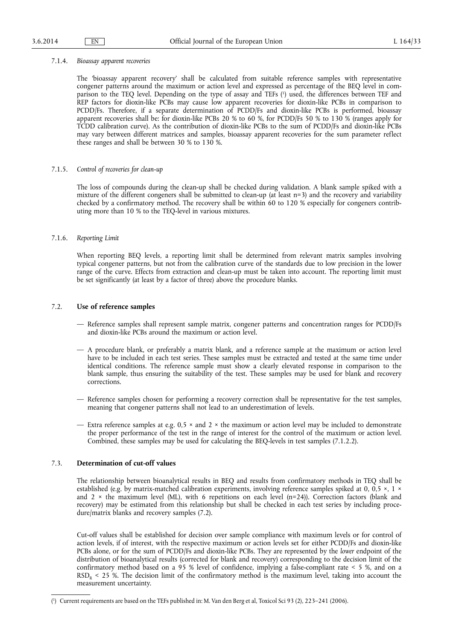#### 7.1.4. *Bioassay apparent recoveries*

The 'bioassay apparent recovery' shall be calculated from suitable reference samples with representative congener patterns around the maximum or action level and expressed as percentage of the BEQ level in comparison to the TEQ level. Depending on the type of assay and TEFs ( 1 ) used, the differences between TEF and REP factors for dioxin-like PCBs may cause low apparent recoveries for dioxin-like PCBs in comparison to PCDD/Fs. Therefore, if a separate determination of PCDD/Fs and dioxin-like PCBs is performed, bioassay apparent recoveries shall be: for dioxin-like PCBs 20 % to 60 %, for PCDD/Fs 50 % to 130 % (ranges apply for TCDD calibration curve). As the contribution of dioxin-like PCBs to the sum of PCDD/Fs and dioxin-like PCBs may vary between different matrices and samples, bioassay apparent recoveries for the sum parameter reflect these ranges and shall be between 30 % to 130 %.

# 7.1.5. *Control of recoveries for clean-up*

The loss of compounds during the clean-up shall be checked during validation. A blank sample spiked with a mixture of the different congeners shall be submitted to clean-up (at least n=3) and the recovery and variability checked by a confirmatory method. The recovery shall be within 60 to 120 % especially for congeners contributing more than 10 % to the TEQ-level in various mixtures.

## 7.1.6. *Reporting Limit*

When reporting BEQ levels, a reporting limit shall be determined from relevant matrix samples involving typical congener patterns, but not from the calibration curve of the standards due to low precision in the lower range of the curve. Effects from extraction and clean-up must be taken into account. The reporting limit must be set significantly (at least by a factor of three) above the procedure blanks.

## 7.2. **Use of reference samples**

- Reference samples shall represent sample matrix, congener patterns and concentration ranges for PCDD/Fs and dioxin-like PCBs around the maximum or action level.
- A procedure blank, or preferably a matrix blank, and a reference sample at the maximum or action level have to be included in each test series. These samples must be extracted and tested at the same time under identical conditions. The reference sample must show a clearly elevated response in comparison to the blank sample, thus ensuring the suitability of the test. These samples may be used for blank and recovery corrections.
- Reference samples chosen for performing a recovery correction shall be representative for the test samples, meaning that congener patterns shall not lead to an underestimation of levels.
- Extra reference samples at e.g.  $0.5 \times$  and  $2 \times$  the maximum or action level may be included to demonstrate the proper performance of the test in the range of interest for the control of the maximum or action level. Combined, these samples may be used for calculating the BEQ-levels in test samples (7.1.2.2).

# 7.3. **Determination of cut-off values**

The relationship between bioanalytical results in BEQ and results from confirmatory methods in TEQ shall be established (e.g. by matrix-matched calibration experiments, involving reference samples spiked at 0, 0,5  $\times$ , 1  $\times$ and 2  $\times$  the maximum level (ML), with 6 repetitions on each level (n=24)). Correction factors (blank and recovery) may be estimated from this relationship but shall be checked in each test series by including procedure/matrix blanks and recovery samples (7.2).

Cut-off values shall be established for decision over sample compliance with maximum levels or for control of action levels, if of interest, with the respective maximum or action levels set for either PCDD/Fs and dioxin-like PCBs alone, or for the sum of PCDD/Fs and dioxin-like PCBs. They are represented by the *lower* endpoint of the distribution of bioanalytical results (corrected for blank and recovery) corresponding to the decision limit of the confirmatory method based on a 95 % level of confidence, implying a false-compliant rate < 5 %, and on a  $RSD<sub>R</sub>$  < 25 %. The decision limit of the confirmatory method is the maximum level, taking into account the measurement uncertainty.

<sup>(</sup> 1 ) Current requirements are based on the TEFs published in: M. Van den Berg et al, Toxicol Sci 93 (2), 223–241 (2006).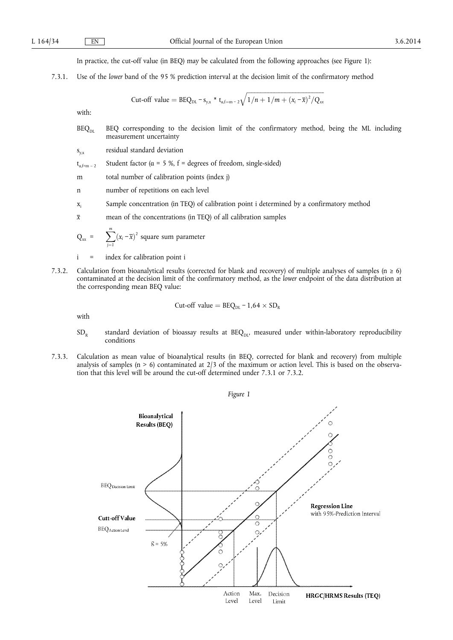In practice, the cut-off value (in BEQ) may be calculated from the following approaches (see Figure 1):

7.3.1. Use of the *lower* band of the 95 % prediction interval at the decision limit of the confirmatory method

Cut-off value = 
$$
BEQ_{DL} - s_{y.x} * t_{\alpha f=m-2} \sqrt{1/n + 1/m + (x_i - \overline{x})^2 / Q_{xx}}
$$

with:

 $BEQ<sub>DL</sub>$  BEQ corresponding to the decision limit of the confirmatory method, being the ML including measurement uncertainty

sy,x residual standard deviation

 $t_{\alpha, f=m-2}$  Student factor ( $\alpha = 5$  %,  $f =$  degrees of freedom, single-sided)

m total number of calibration points (index j)

n number of repetitions on each level

- x*i* Sample concentration (in TEQ) of calibration point i determined by a confirmatory method
- $\bar{x}$  mean of the concentrations (in TEQ) of all calibration samples

$$
Q_{xx} = \sum_{j=1}^{m} (x_i - \overline{x})^2 \text{ square sum parameter}
$$

- i = index for calibration point i
- 7.3.2. Calculation from bioanalytical results (corrected for blank and recovery) of multiple analyses of samples ( $n \ge 6$ ) contaminated at the decision limit of the confirmatory method, as the *lower* endpoint of the data distribution at the corresponding mean BEQ value:

Cut-off value = 
$$
BEQ_{DL} - 1.64 \times SD_R
$$

with

- $SD<sub>R</sub>$  standard deviation of bioassay results at BEQ<sub>DL</sub>, measured under within-laboratory reproducibility conditions
- 7.3.3. Calculation as mean value of bioanalytical results (in BEQ, corrected for blank and recovery) from multiple analysis of samples (n > 6) contaminated at 2/3 of the maximum or action level. This is based on the observation that this level will be around the cut-off determined under 7.3.1 or 7.3.2.

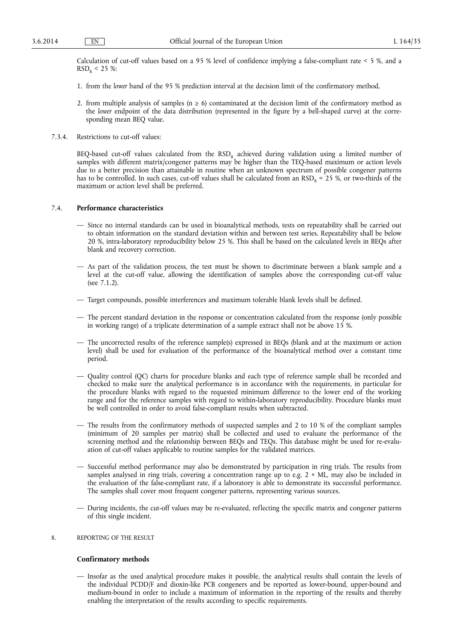Calculation of cut-off values based on a 95 % level of confidence implying a false-compliant rate < 5 %, and a  $RSD_R < 25$  %:

- 1. from the *lower* band of the 95 % prediction interval at the decision limit of the confirmatory method,
- 2. from multiple analysis of samples ( $n \ge 6$ ) contaminated at the decision limit of the confirmatory method as the *lower* endpoint of the data distribution (represented in the figure by a bell-shaped curve) at the corresponding mean BEQ value.
- 7.3.4. Restrictions to cut-off values:

BEQ-based cut-off values calculated from the  $RSD<sub>R</sub>$  achieved during validation using a limited number of samples with different matrix/congener patterns may be higher than the TEQ-based maximum or action levels due to a better precision than attainable in routine when an unknown spectrum of possible congener patterns has to be controlled. In such cases, cut-off values shall be calculated from an  $RSD<sub>R</sub> = 25$  %, or two-thirds of the maximum or action level shall be preferred.

#### 7.4. **Performance characteristics**

- Since no internal standards can be used in bioanalytical methods, tests on repeatability shall be carried out to obtain information on the standard deviation within and between test series. Repeatability shall be below 20 %, intra-laboratory reproducibility below 25 %. This shall be based on the calculated levels in BEQs after blank and recovery correction.
- As part of the validation process, the test must be shown to discriminate between a blank sample and a level at the cut-off value, allowing the identification of samples above the corresponding cut-off value (see 7.1.2).
- Target compounds, possible interferences and maximum tolerable blank levels shall be defined.
- The percent standard deviation in the response or concentration calculated from the response (only possible in working range) of a triplicate determination of a sample extract shall not be above 15 %.
- The uncorrected results of the reference sample(s) expressed in BEQs (blank and at the maximum or action level) shall be used for evaluation of the performance of the bioanalytical method over a constant time period.
- Quality control (QC) charts for procedure blanks and each type of reference sample shall be recorded and checked to make sure the analytical performance is in accordance with the requirements, in particular for the procedure blanks with regard to the requested minimum difference to the lower end of the working range and for the reference samples with regard to within-laboratory reproducibility. Procedure blanks must be well controlled in order to avoid false-compliant results when subtracted.
- The results from the confirmatory methods of suspected samples and 2 to 10 % of the compliant samples (minimum of 20 samples per matrix) shall be collected and used to evaluate the performance of the screening method and the relationship between BEQs and TEQs. This database might be used for re-evaluation of cut-off values applicable to routine samples for the validated matrices.
- Successful method performance may also be demonstrated by participation in ring trials. The results from samples analysed in ring trials, covering a concentration range up to e.g.  $2 \times ML$ , may also be included in the evaluation of the false-compliant rate, if a laboratory is able to demonstrate its successful performance. The samples shall cover most frequent congener patterns, representing various sources.
- During incidents, the cut-off values may be re-evaluated, reflecting the specific matrix and congener patterns of this single incident.
- 8. REPORTING OF THE RESULT

#### **Confirmatory methods**

— Insofar as the used analytical procedure makes it possible, the analytical results shall contain the levels of the individual PCDD/F and dioxin-like PCB congeners and be reported as lower-bound, upper-bound and medium-bound in order to include a maximum of information in the reporting of the results and thereby enabling the interpretation of the results according to specific requirements.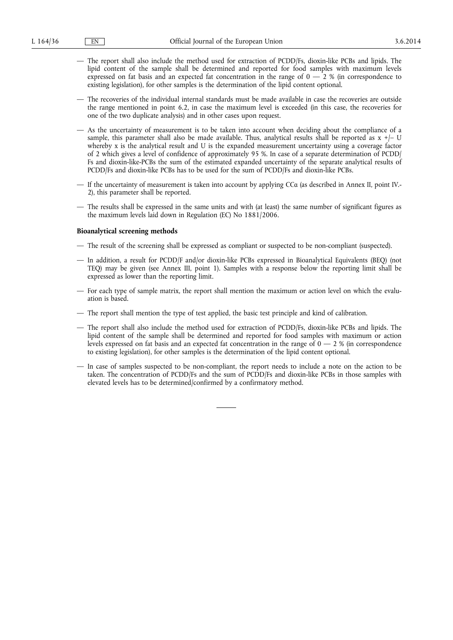- The report shall also include the method used for extraction of PCDD/Fs, dioxin-like PCBs and lipids. The lipid content of the sample shall be determined and reported for food samples with maximum levels expressed on fat basis and an expected fat concentration in the range of  $0 - 2$  % (in correspondence to existing legislation), for other samples is the determination of the lipid content optional.
- The recoveries of the individual internal standards must be made available in case the recoveries are outside the range mentioned in point 6.2, in case the maximum level is exceeded (in this case, the recoveries for one of the two duplicate analysis) and in other cases upon request.
- As the uncertainty of measurement is to be taken into account when deciding about the compliance of a sample, this parameter shall also be made available. Thus, analytical results shall be reported as  $x +$   $\cup$ whereby x is the analytical result and U is the expanded measurement uncertainty using a coverage factor of 2 which gives a level of confidence of approximately 95 %. In case of a separate determination of PCDD/ Fs and dioxin-like-PCBs the sum of the estimated expanded uncertainty of the separate analytical results of PCDD/Fs and dioxin-like PCBs has to be used for the sum of PCDD/Fs and dioxin-like PCBs.
- If the uncertainty of measurement is taken into account by applying CCα (as described in Annex II, point IV. 2), this parameter shall be reported.
- The results shall be expressed in the same units and with (at least) the same number of significant figures as the maximum levels laid down in Regulation (EC) No 1881/2006.

#### **Bioanalytical screening methods**

- The result of the screening shall be expressed as compliant or suspected to be non-compliant (suspected).
- In addition, a result for PCDD/F and/or dioxin-like PCBs expressed in Bioanalytical Equivalents (BEQ) (not TEQ) may be given (see Annex III, point 1). Samples with a response below the reporting limit shall be expressed as lower than the reporting limit.
- For each type of sample matrix, the report shall mention the maximum or action level on which the evaluation is based.
- The report shall mention the type of test applied, the basic test principle and kind of calibration.
- The report shall also include the method used for extraction of PCDD/Fs, dioxin-like PCBs and lipids. The lipid content of the sample shall be determined and reported for food samples with maximum or action levels expressed on fat basis and an expected fat concentration in the range of  $0-2$  % (in correspondence to existing legislation), for other samples is the determination of the lipid content optional.
- In case of samples suspected to be non-compliant, the report needs to include a note on the action to be taken. The concentration of PCDD/Fs and the sum of PCDD/Fs and dioxin-like PCBs in those samples with elevated levels has to be determined/confirmed by a confirmatory method.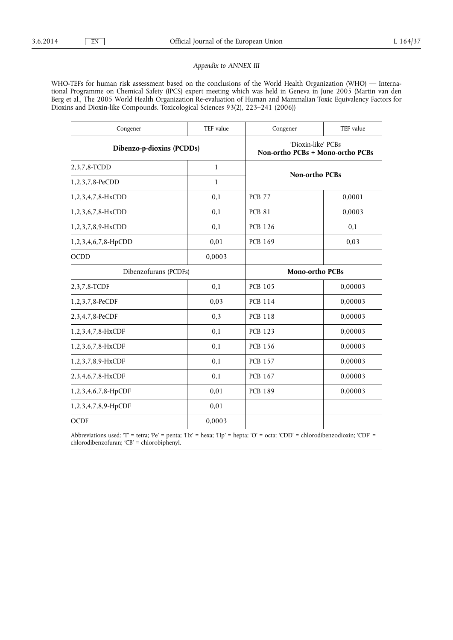# *Appendix to ANNEX III*

WHO-TEFs for human risk assessment based on the conclusions of the World Health Organization (WHO) — International Programme on Chemical Safety (IPCS) expert meeting which was held in Geneva in June 2005 (Martin van den Berg et al., The 2005 World Health Organization Re-evaluation of Human and Mammalian Toxic Equivalency Factors for Dioxins and Dioxin-like Compounds. Toxicological Sciences 93(2), 223–241 (2006))

| Congener                  | TEF value | Congener                                               | TEF value |
|---------------------------|-----------|--------------------------------------------------------|-----------|
| Dibenzo-p-dioxins (PCDDs) |           | 'Dioxin-like' PCBs<br>Non-ortho PCBs + Mono-ortho PCBs |           |
| 2, 3, 7, 8-TCDD           | 1         | <b>Non-ortho PCBs</b>                                  |           |
| 1,2,3,7,8-PeCDD           | 1         |                                                        |           |
| 1, 2, 3, 4, 7, 8-HxCDD    | 0,1       | <b>PCB 77</b>                                          | 0,0001    |
| 1,2,3,6,7,8-HxCDD         | 0,1       | <b>PCB 81</b>                                          | 0,0003    |
| 1,2,3,7,8,9-HxCDD         | 0,1       | <b>PCB 126</b>                                         | 0,1       |
| 1,2,3,4,6,7,8-HpCDD       | 0,01      | <b>PCB 169</b>                                         | 0,03      |
| <b>OCDD</b>               | 0,0003    |                                                        |           |
| Dibenzofurans (PCDFs)     |           | <b>Mono-ortho PCBs</b>                                 |           |
| 2, 3, 7, 8-TCDF           | 0,1       | <b>PCB 105</b>                                         | 0,00003   |
| 1,2,3,7,8-PeCDF           | 0,03      | <b>PCB 114</b>                                         | 0,00003   |
| 2,3,4,7,8-PeCDF           | 0,3       | <b>PCB 118</b>                                         | 0,00003   |
| 1,2,3,4,7,8-HxCDF         | 0,1       | <b>PCB 123</b>                                         | 0,00003   |
| 1,2,3,6,7,8-HxCDF         | 0,1       | <b>PCB 156</b>                                         | 0,00003   |
| 1,2,3,7,8,9-HxCDF         | 0,1       | <b>PCB 157</b>                                         | 0,00003   |
| 2,3,4,6,7,8-HxCDF         | 0,1       | <b>PCB 167</b>                                         | 0,00003   |
| 1,2,3,4,6,7,8-HpCDF       | 0,01      | <b>PCB 189</b>                                         | 0,00003   |
| 1,2,3,4,7,8,9-HpCDF       | 0,01      |                                                        |           |
| <b>OCDF</b>               | 0,0003    |                                                        |           |

Abbreviations used: 'T' = tetra; 'Pe' = penta; 'Hx' = hexa; 'Hp' = hepta; 'O' = octa; 'CDD' = chlorodibenzodioxin; 'CDF' = chlorodibenzofuran; 'CB' = chlorobiphenyl.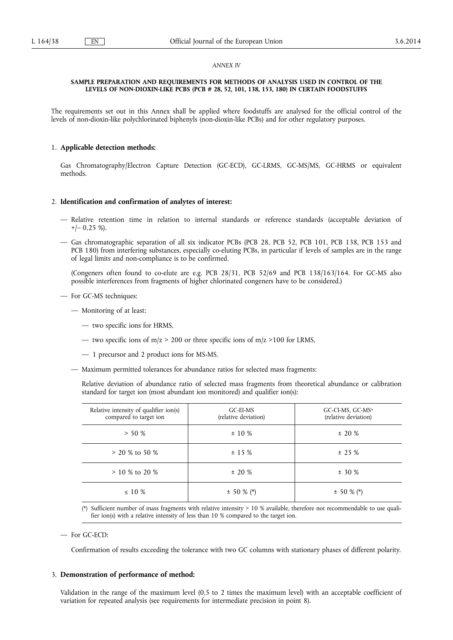#### *ANNEX IV*

#### **SAMPLE PREPARATION AND REQUIREMENTS FOR METHODS OF ANALYSIS USED IN CONTROL OF THE LEVELS OF NON-DIOXIN-LIKE PCBS (PCB # 28, 52, 101, 138, 153, 180) IN CERTAIN FOODSTUFFS**

The requirements set out in this Annex shall be applied where foodstuffs are analysed for the official control of the levels of non-dioxin-like polychlorinated biphenyls (non-dioxin-like PCBs) and for other regulatory purposes.

# 1. **Applicable detection methods:**

Gas Chromatography/Electron Capture Detection (GC-ECD), GC-LRMS, GC-MS/MS, GC-HRMS or equivalent methods.

## 2. **Identification and confirmation of analytes of interest:**

- Relative retention time in relation to internal standards or reference standards (acceptable deviation of  $+/-$  0,25 %).
- Gas chromatographic separation of all six indicator PCBs (PCB 28, PCB 52, PCB 101, PCB 138, PCB 153 and PCB 180) from interfering substances, especially co-eluting PCBs, in particular if levels of samples are in the range of legal limits and non-compliance is to be confirmed.

(Congeners often found to co-elute are e.g. PCB 28/31, PCB 52/69 and PCB 138/163/164. For GC-MS also possible interferences from fragments of higher chlorinated congeners have to be considered.)

- For GC-MS techniques:
	- Monitoring of at least:
		- two specific ions for HRMS,
		- two specific ions of m/z > 200 or three specific ions of m/z > 100 for LRMS,
		- 1 precursor and 2 product ions for MS-MS.
	- Maximum permitted tolerances for abundance ratios for selected mass fragments:

Relative deviation of abundance ratio of selected mass fragments from theoretical abundance or calibration standard for target ion (most abundant ion monitored) and qualifier ion(s):

| Relative intensity of qualifier ion(s)<br>compared to target ion | GC-EI-MS<br>(relative deviation) | $GC$ -CI-MS, $GC$ -MS <sup>n</sup><br>(relative deviation) |
|------------------------------------------------------------------|----------------------------------|------------------------------------------------------------|
| $> 50 \%$                                                        | $\pm$ 10 %                       | ± 20%                                                      |
| $> 20\%$ to 50 %                                                 | ± 15%                            | ± 25%                                                      |
| $> 10\%$ to 20 %                                                 | ± 20%                            | $± 30 \%$                                                  |
| $\leq$ 10 %                                                      | $\pm$ 50 % (*)                   | $\pm$ 50 % (*)                                             |

(\*) Sufficient number of mass fragments with relative intensity > 10 % available, therefore not recommendable to use qualifier ion(s) with a relative intensity of less than 10 % compared to the target ion.

— For GC-ECD:

Confirmation of results exceeding the tolerance with two GC columns with stationary phases of different polarity.

# 3. **Demonstration of performance of method:**

Validation in the range of the maximum level (0,5 to 2 times the maximum level) with an acceptable coefficient of variation for repeated analysis (see requirements for intermediate precision in point 8).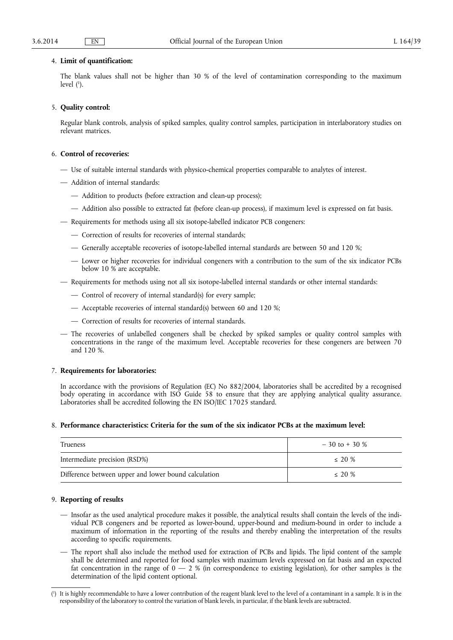## 4. **Limit of quantification:**

The blank values shall not be higher than 30 % of the level of contamination corresponding to the maximum level ( 1 ).

## 5. **Quality control:**

Regular blank controls, analysis of spiked samples, quality control samples, participation in interlaboratory studies on relevant matrices.

# 6. **Control of recoveries:**

- Use of suitable internal standards with physico-chemical properties comparable to analytes of interest.
- Addition of internal standards:
	- Addition to products (before extraction and clean-up process);
	- Addition also possible to extracted fat (before clean-up process), if maximum level is expressed on fat basis.
- Requirements for methods using all six isotope-labelled indicator PCB congeners:
	- Correction of results for recoveries of internal standards;
	- Generally acceptable recoveries of isotope-labelled internal standards are between 50 and 120 %;
	- Lower or higher recoveries for individual congeners with a contribution to the sum of the six indicator PCBs below 10 % are acceptable.
- Requirements for methods using not all six isotope-labelled internal standards or other internal standards:
	- Control of recovery of internal standard(s) for every sample;
	- Acceptable recoveries of internal standard(s) between 60 and 120 %;
	- Correction of results for recoveries of internal standards.
- The recoveries of unlabelled congeners shall be checked by spiked samples or quality control samples with concentrations in the range of the maximum level. Acceptable recoveries for these congeners are between 70 and 120 %.

# 7. **Requirements for laboratories:**

In accordance with the provisions of Regulation (EC) No 882/2004, laboratories shall be accredited by a recognised body operating in accordance with ISO Guide 58 to ensure that they are applying analytical quality assurance. Laboratories shall be accredited following the EN ISO/IEC 17025 standard.

## 8. **Performance characteristics: Criteria for the sum of the six indicator PCBs at the maximum level:**

| Trueness                                             | $-30$ to + 30 % |
|------------------------------------------------------|-----------------|
| Intermediate precision (RSD%)                        | $\leq$ 20 %     |
| Difference between upper and lower bound calculation | $\leq$ 20 %     |

# 9. **Reporting of results**

- Insofar as the used analytical procedure makes it possible, the analytical results shall contain the levels of the individual PCB congeners and be reported as lower-bound, upper-bound and medium-bound in order to include a maximum of information in the reporting of the results and thereby enabling the interpretation of the results according to specific requirements.
- The report shall also include the method used for extraction of PCBs and lipids. The lipid content of the sample shall be determined and reported for food samples with maximum levels expressed on fat basis and an expected fat concentration in the range of  $0 - 2$  % (in correspondence to existing legislation), for other samples is the determination of the lipid content optional.

<sup>(</sup> 1 ) It is highly recommendable to have a lower contribution of the reagent blank level to the level of a contaminant in a sample. It is in the responsibility of the laboratory to control the variation of blank levels, in particular, if the blank levels are subtracted.